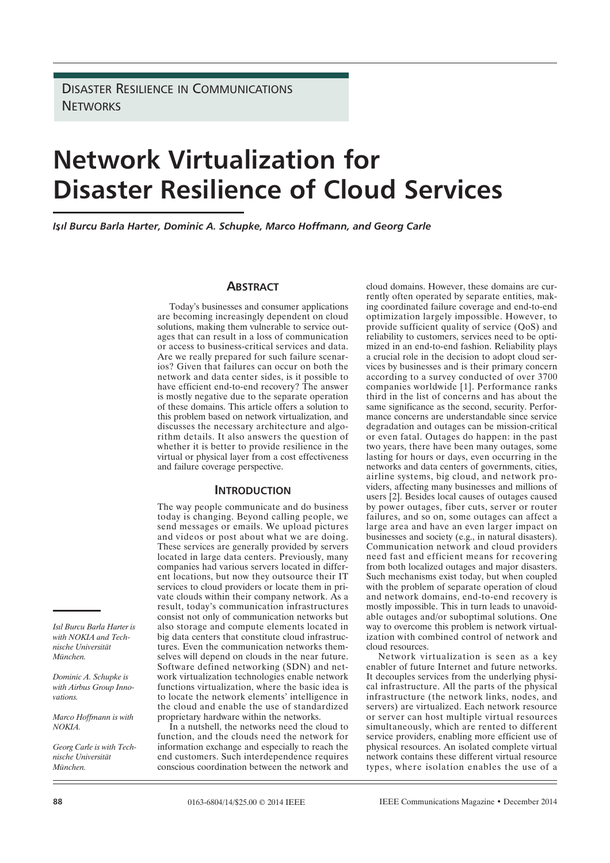DISASTER RESILIENCE IN COMMUNICATIONS **NETWORKS** 

# **Network Virtualization for Disaster Resilience of Cloud Services**

*Is,ıl Burcu Barla Harter, Dominic A. Schupke, Marco Hoffmann, and Georg Carle*

## **ABSTRACT**

Today's businesses and consumer applications are becoming increasingly dependent on cloud solutions, making them vulnerable to service outages that can result in a loss of communication or access to business-critical services and data. Are we really prepared for such failure scenarios? Given that failures can occur on both the network and data center sides, is it possible to have efficient end-to-end recovery? The answer is mostly negative due to the separate operation of these domains. This article offers a solution to this problem based on network virtualization, and discusses the necessary architecture and algorithm details. It also answers the question of whether it is better to provide resilience in the virtual or physical layer from a cost effectiveness and failure coverage perspective.

#### **INTRODUCTION**

The way people communicate and do business today is changing. Beyond calling people, we send messages or emails. We upload pictures and videos or post about what we are doing. These services are generally provided by servers located in large data centers. Previously, many companies had various servers located in different locations, but now they outsource their IT services to cloud providers or locate them in private clouds within their company network. As a result, today's communication infrastructures consist not only of communication networks but also storage and compute elements located in big data centers that constitute cloud infrastructures. Even the communication networks themselves will depend on clouds in the near future. Software defined networking (SDN) and network virtualization technologies enable network functions virtualization, where the basic idea is to locate the network elements' intelligence in the cloud and enable the use of standardized proprietary hardware within the networks.

In a nutshell, the networks need the cloud to function, and the clouds need the network for information exchange and especially to reach the end customers. Such interdependence requires conscious coordination between the network and cloud domains. However, these domains are currently often operated by separate entities, making coordinated failure coverage and end-to-end optimization largely impossible. However, to provide sufficient quality of service (QoS) and reliability to customers, services need to be optimized in an end-to-end fashion. Reliability plays a crucial role in the decision to adopt cloud services by businesses and is their primary concern according to a survey conducted of over 3700 companies worldwide [1]. Performance ranks third in the list of concerns and has about the same significance as the second, security. Performance concerns are understandable since service degradation and outages can be mission-critical or even fatal. Outages do happen: in the past two years, there have been many outages, some lasting for hours or days, even occurring in the networks and data centers of governments, cities, airline systems, big cloud, and network providers, affecting many businesses and millions of users [2]. Besides local causes of outages caused by power outages, fiber cuts, server or router failures, and so on, some outages can affect a large area and have an even larger impact on businesses and society (e.g., in natural disasters). Communication network and cloud providers need fast and efficient means for recovering from both localized outages and major disasters. Such mechanisms exist today, but when coupled with the problem of separate operation of cloud and network domains, end-to-end recovery is mostly impossible. This in turn leads to unavoidable outages and/or suboptimal solutions. One way to overcome this problem is network virtualization with combined control of network and cloud resources.

Network virtualization is seen as a key enabler of future Internet and future networks. It decouples services from the underlying physical infrastructure. All the parts of the physical infrastructure (the network links, nodes, and servers) are virtualized. Each network resource or server can host multiple virtual resources simultaneously, which are rented to different service providers, enabling more efficient use of physical resources. An isolated complete virtual network contains these different virtual resource types, where isolation enables the use of a

*Isıl Burcu Barla Harter is with NOKIA and Technische Universität München.*

*Dominic A. Schupke is with Airbus Group Innovations.*

*Marco Hoffmann is with NOKIA.*

*Georg Carle is with Technische Universität München.*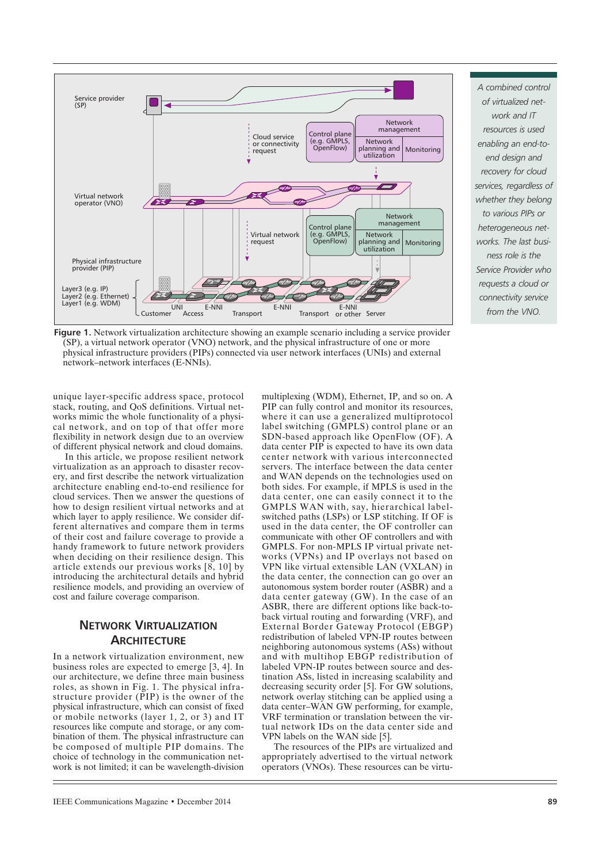

*A combined control of virtualized network and IT resources is used enabling an end-toend design and recovery for cloud services, regardless of whether they belong to various PIPs or heterogeneous networks. The last business role is the Service Provider who requests a cloud or connectivity service from the VNO.*

**Figure 1.** Network virtualization architecture showing an example scenario including a service provider (SP), a virtual network operator (VNO) network, and the physical infrastructure of one or more physical infrastructure providers (PIPs) connected via user network interfaces (UNIs) and external network–network interfaces (E-NNIs).

unique layer-specific address space, protocol stack, routing, and QoS definitions. Virtual networks mimic the whole functionality of a physical network, and on top of that offer more flexibility in network design due to an overview of different physical network and cloud domains.

In this article, we propose resilient network virtualization as an approach to disaster recovery, and first describe the network virtualization architecture enabling end-to-end resilience for cloud services. Then we answer the questions of how to design resilient virtual networks and at which layer to apply resilience. We consider different alternatives and compare them in terms of their cost and failure coverage to provide a handy framework to future network providers when deciding on their resilience design. This article extends our previous works [8, 10] by introducing the architectural details and hybrid resilience models, and providing an overview of cost and failure coverage comparison.

# **NETWORK VIRTUALIZATION ARCHITECTURE**

In a network virtualization environment, new business roles are expected to emerge [3, 4]. In our architecture, we define three main business roles, as shown in Fig. 1. The physical infrastructure provider (PIP) is the owner of the physical infrastructure, which can consist of fixed or mobile networks (layer 1, 2, or 3) and IT resources like compute and storage, or any combination of them. The physical infrastructure can be composed of multiple PIP domains. The choice of technology in the communication network is not limited; it can be wavelength-division

multiplexing (WDM), Ethernet, IP, and so on. A PIP can fully control and monitor its resources, where it can use a generalized multiprotocol label switching (GMPLS) control plane or an SDN-based approach like OpenFlow (OF). A data center  $\overrightarrow{PIP}$  is expected to have its own data center network with various interconnected servers. The interface between the data center and WAN depends on the technologies used on both sides. For example, if MPLS is used in the data center, one can easily connect it to the GMPLS WAN with, say, hierarchical labelswitched paths (LSPs) or LSP stitching. If OF is used in the data center, the OF controller can communicate with other OF controllers and with GMPLS. For non-MPLS IP virtual private networks (VPNs) and IP overlays not based on VPN like virtual extensible LAN (VXLAN) in the data center, the connection can go over an autonomous system border router (ASBR) and a data center gateway (GW). In the case of an ASBR, there are different options like back-toback virtual routing and forwarding (VRF), and External Border Gateway Protocol (EBGP) redistribution of labeled VPN-IP routes between neighboring autonomous systems (ASs) without and with multihop EBGP redistribution of labeled VPN-IP routes between source and destination ASs, listed in increasing scalability and decreasing security order [5]. For GW solutions, network overlay stitching can be applied using a data center–WAN GW performing, for example, VRF termination or translation between the virtual network IDs on the data center side and VPN labels on the WAN side [5].

The resources of the PIPs are virtualized and appropriately advertised to the virtual network operators (VNOs). These resources can be virtu-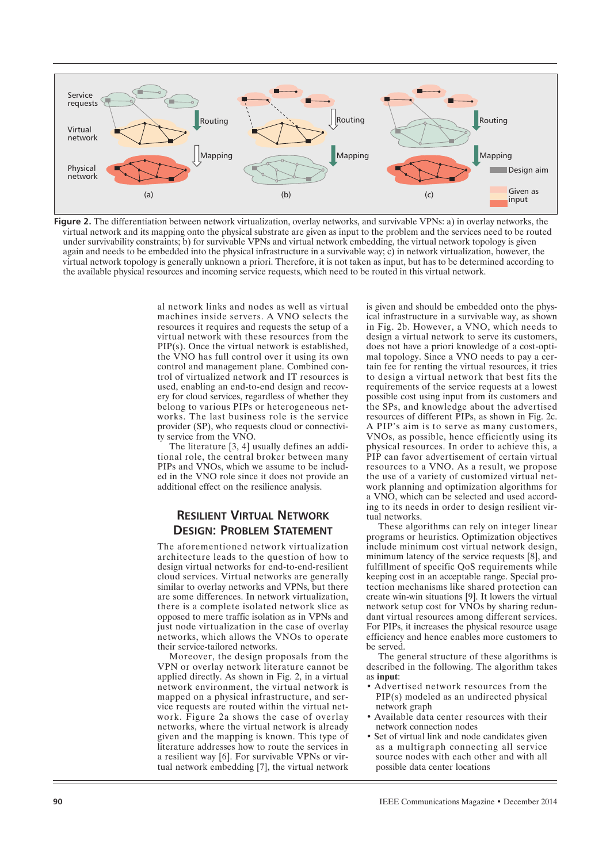

**Figure 2.** The differentiation between network virtualization, overlay networks, and survivable VPNs: a) in overlay networks, the virtual network and its mapping onto the physical substrate are given as input to the problem and the services need to be routed under survivability constraints; b) for survivable VPNs and virtual network embedding, the virtual network topology is given again and needs to be embedded into the physical infrastructure in a survivable way; c) in network virtualization, however, the virtual network topology is generally unknown a priori. Therefore, it is not taken as input, but has to be determined according to the available physical resources and incoming service requests, which need to be routed in this virtual network.

al network links and nodes as well as virtual machines inside servers. A VNO selects the resources it requires and requests the setup of a virtual network with these resources from the PIP(s). Once the virtual network is established, the VNO has full control over it using its own control and management plane. Combined control of virtualized network and IT resources is used, enabling an end-to-end design and recovery for cloud services, regardless of whether they belong to various PIPs or heterogeneous networks. The last business role is the service provider (SP), who requests cloud or connectivity service from the VNO.

The literature [3, 4] usually defines an additional role, the central broker between many PIPs and VNOs, which we assume to be included in the VNO role since it does not provide an additional effect on the resilience analysis.

## **RESILIENT VIRTUAL NETWORK DESIGN: PROBLEM STATEMENT**

The aforementioned network virtualization architecture leads to the question of how to design virtual networks for end-to-end-resilient cloud services. Virtual networks are generally similar to overlay networks and VPNs, but there are some differences. In network virtualization, there is a complete isolated network slice as opposed to mere traffic isolation as in VPNs and just node virtualization in the case of overlay networks, which allows the VNOs to operate their service-tailored networks.

Moreover, the design proposals from the VPN or overlay network literature cannot be applied directly. As shown in Fig. 2, in a virtual network environment, the virtual network is mapped on a physical infrastructure, and service requests are routed within the virtual network. Figure 2a shows the case of overlay networks, where the virtual network is already given and the mapping is known. This type of literature addresses how to route the services in a resilient way [6]. For survivable VPNs or virtual network embedding [7], the virtual network is given and should be embedded onto the physical infrastructure in a survivable way, as shown in Fig. 2b. However, a VNO, which needs to design a virtual network to serve its customers, does not have a priori knowledge of a cost-optimal topology. Since a VNO needs to pay a certain fee for renting the virtual resources, it tries to design a virtual network that best fits the requirements of the service requests at a lowest possible cost using input from its customers and the SPs, and knowledge about the advertised resources of different PIPs, as shown in Fig. 2c. A PIP's aim is to serve as many customers, VNOs, as possible, hence efficiently using its physical resources. In order to achieve this, a PIP can favor advertisement of certain virtual resources to a VNO. As a result, we propose the use of a variety of customized virtual network planning and optimization algorithms for a VNO, which can be selected and used according to its needs in order to design resilient virtual networks.

These algorithms can rely on integer linear programs or heuristics. Optimization objectives include minimum cost virtual network design, minimum latency of the service requests [8], and fulfillment of specific QoS requirements while keeping cost in an acceptable range. Special protection mechanisms like shared protection can create win-win situations [9]. It lowers the virtual network setup cost for VNOs by sharing redundant virtual resources among different services. For PIPs, it increases the physical resource usage efficiency and hence enables more customers to be served.

The general structure of these algorithms is described in the following. The algorithm takes as **input**:

- Advertised network resources from the PIP(s) modeled as an undirected physical network graph
- Available data center resources with their network connection nodes
- Set of virtual link and node candidates given as a multigraph connecting all service source nodes with each other and with all possible data center locations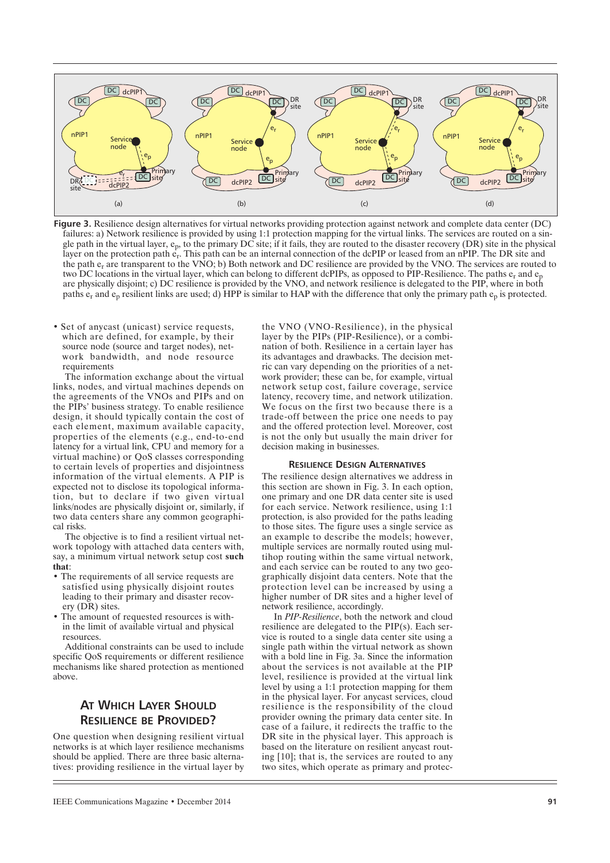

**Figure 3.** Resilience design alternatives for virtual networks providing protection against network and complete data center (DC) failures: a) Network resilience is provided by using 1:1 protection mapping for the virtual links. The services are routed on a single path in the virtual layer,  $e_p$ , to the primary DC site; if it fails, they are routed to the disaster recovery (DR) site in the physical layer on the protection path e<sub>r</sub>. This path can be an internal connection of the dcPIP or leased from an nPIP. The DR site and the path  $e_r$  are transparent to the VNO; b) Both network and DC resilience are provided by the VNO. The services are routed to two DC locations in the virtual layer, which can belong to different dcPIPs, as opposed to PIP-Resilience. The paths  $e_r$  and  $e_p$ are physically disjoint; c) DC resilience is provided by the VNO, and network resilience is delegated to the PIP, where in both paths  $e_r$  and  $e_p$  resilient links are used; d) HPP is similar to HAP with the difference that only the primary path  $e_p$  is protected.

• Set of anycast (unicast) service requests, which are defined, for example, by their source node (source and target nodes), network bandwidth, and node resource requirements

The information exchange about the virtual links, nodes, and virtual machines depends on the agreements of the VNOs and PIPs and on the PIPs' business strategy. To enable resilience design, it should typically contain the cost of each element, maximum available capacity, properties of the elements (e.g., end-to-end latency for a virtual link, CPU and memory for a virtual machine) or QoS classes corresponding to certain levels of properties and disjointness information of the virtual elements. A PIP is expected not to disclose its topological information, but to declare if two given virtual links/nodes are physically disjoint or, similarly, if two data centers share any common geographical risks.

The objective is to find a resilient virtual network topology with attached data centers with. say, a minimum virtual network setup cost **such that**:

- The requirements of all service requests are satisfied using physically disjoint routes leading to their primary and disaster recovery (DR) sites.
- The amount of requested resources is within the limit of available virtual and physical resources.

Additional constraints can be used to include specific QoS requirements or different resilience mechanisms like shared protection as mentioned above.

# **AT WHICH LAYER SHOULD RESILIENCE BE PROVIDED?**

One question when designing resilient virtual networks is at which layer resilience mechanisms should be applied. There are three basic alternatives: providing resilience in the virtual layer by the VNO (VNO-Resilience), in the physical layer by the PIPs (PIP-Resilience), or a combination of both. Resilience in a certain layer has its advantages and drawbacks. The decision metric can vary depending on the priorities of a network provider; these can be, for example, virtual network setup cost, failure coverage, service latency, recovery time, and network utilization. We focus on the first two because there is a trade-off between the price one needs to pay and the offered protection level. Moreover, cost is not the only but usually the main driver for decision making in businesses.

#### **RESILIENCE DESIGN ALTERNATIVES**

The resilience design alternatives we address in this section are shown in Fig. 3. In each option, one primary and one DR data center site is used for each service. Network resilience, using 1:1 protection, is also provided for the paths leading to those sites. The figure uses a single service as an example to describe the models; however, multiple services are normally routed using multihop routing within the same virtual network, and each service can be routed to any two geographically disjoint data centers. Note that the protection level can be increased by using a higher number of DR sites and a higher level of network resilience, accordingly.

In *PIP-Resilience*, both the network and cloud resilience are delegated to the PIP(s). Each service is routed to a single data center site using a single path within the virtual network as shown with a bold line in Fig. 3a. Since the information about the services is not available at the PIP level, resilience is provided at the virtual link level by using a 1:1 protection mapping for them in the physical layer. For anycast services, cloud resilience is the responsibility of the cloud provider owning the primary data center site. In case of a failure, it redirects the traffic to the DR site in the physical layer. This approach is based on the literature on resilient anycast routing [10]; that is, the services are routed to any two sites, which operate as primary and protec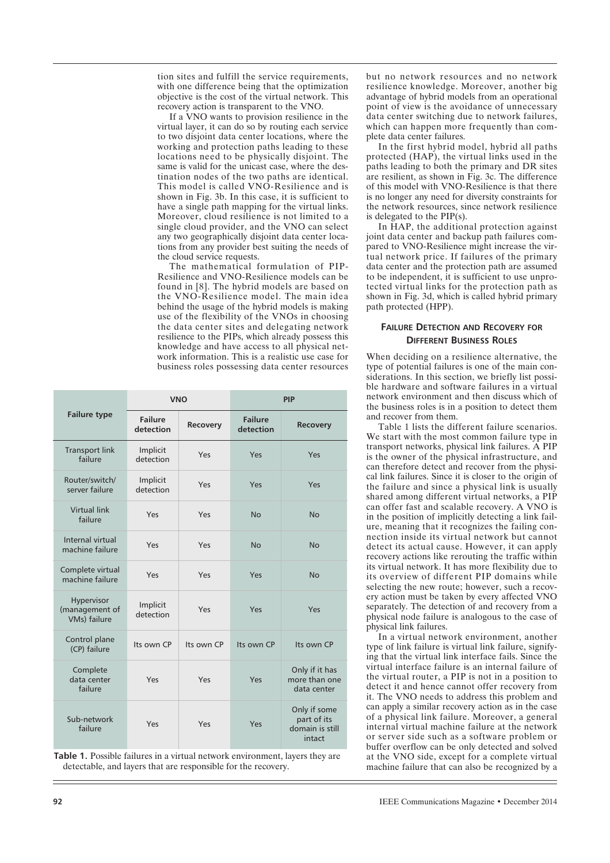tion sites and fulfill the service requirements, with one difference being that the optimization objective is the cost of the virtual network. This recovery action is transparent to the VNO.

If a VNO wants to provision resilience in the virtual layer, it can do so by routing each service to two disjoint data center locations, where the working and protection paths leading to these locations need to be physically disjoint. The same is valid for the unicast case, where the destination nodes of the two paths are identical. This model is called VNO-Resilience and is shown in Fig. 3b. In this case, it is sufficient to have a single path mapping for the virtual links. Moreover, cloud resilience is not limited to a single cloud provider, and the VNO can select any two geographically disjoint data center locations from any provider best suiting the needs of the cloud service requests.

The mathematical formulation of PIP-Resilience and VNO-Resilience models can be found in [8]. The hybrid models are based on the VNO-Resilience model. The main idea behind the usage of the hybrid models is making use of the flexibility of the VNOs in choosing the data center sites and delegating network resilience to the PIPs, which already possess this knowledge and have access to all physical network information. This is a realistic use case for business roles possessing data center resources

| <b>Failure type</b>                          | <b>VNO</b>                  |                 | <b>PIP</b>                  |                                                          |
|----------------------------------------------|-----------------------------|-----------------|-----------------------------|----------------------------------------------------------|
|                                              | <b>Failure</b><br>detection | <b>Recovery</b> | <b>Failure</b><br>detection | <b>Recovery</b>                                          |
| <b>Transport link</b><br>failure             | Implicit<br>detection       | Yes             | Yes                         | Yes                                                      |
| Router/switch/<br>server failure             | Implicit<br>detection       | Yes             | Yes                         | Yes                                                      |
| <b>Virtual link</b><br>failure               | Yes                         | Yes             | <b>No</b>                   | <b>No</b>                                                |
| Internal virtual<br>machine failure          | Yes                         | Yes             | <b>No</b>                   | <b>No</b>                                                |
| Complete virtual<br>machine failure          | Yes                         | Yes             | Yes                         | <b>No</b>                                                |
| Hypervisor<br>(management of<br>VMs) failure | Implicit<br>detection       | Yes             | Yes                         | Yes                                                      |
| Control plane<br>(CP) failure                | Its own CP                  | Its own CP      | Its own CP                  | Its own CP                                               |
| Complete<br>data center<br>failure           | Yes                         | Yes             | Yes                         | Only if it has<br>more than one<br>data center           |
| Sub-network<br>failure                       | Yes                         | Yes             | Yes                         | Only if some<br>part of its<br>domain is still<br>intact |

**Table 1.** Possible failures in a virtual network environment, layers they are detectable, and layers that are responsible for the recovery.

but no network resources and no network resilience knowledge. Moreover, another big advantage of hybrid models from an operational point of view is the avoidance of unnecessary data center switching due to network failures, which can happen more frequently than complete data center failures.

In the first hybrid model, hybrid all paths protected (HAP), the virtual links used in the paths leading to both the primary and DR sites are resilient, as shown in Fig. 3c. The difference of this model with VNO-Resilience is that there is no longer any need for diversity constraints for the network resources, since network resilience is delegated to the PIP(s).

In HAP, the additional protection against joint data center and backup path failures compared to VNO-Resilience might increase the virtual network price. If failures of the primary data center and the protection path are assumed to be independent, it is sufficient to use unprotected virtual links for the protection path as shown in Fig. 3d, which is called hybrid primary path protected (HPP).

### **FAILURE DETECTION AND RECOVERY FOR DIFFERENT BUSINESS ROLES**

When deciding on a resilience alternative, the type of potential failures is one of the main considerations. In this section, we briefly list possible hardware and software failures in a virtual network environment and then discuss which of the business roles is in a position to detect them and recover from them.

Table 1 lists the different failure scenarios. We start with the most common failure type in transport networks, physical link failures. A PIP is the owner of the physical infrastructure, and can therefore detect and recover from the physical link failures. Since it is closer to the origin of the failure and since a physical link is usually shared among different virtual networks, a PIP can offer fast and scalable recovery. A VNO is in the position of implicitly detecting a link failure, meaning that it recognizes the failing connection inside its virtual network but cannot detect its actual cause. However, it can apply recovery actions like rerouting the traffic within its virtual network. It has more flexibility due to its overview of different PIP domains while selecting the new route; however, such a recovery action must be taken by every affected VNO separately. The detection of and recovery from a physical node failure is analogous to the case of physical link failures.

In a virtual network environment, another type of link failure is virtual link failure, signifying that the virtual link interface fails. Since the virtual interface failure is an internal failure of the virtual router, a PIP is not in a position to detect it and hence cannot offer recovery from it. The VNO needs to address this problem and can apply a similar recovery action as in the case of a physical link failure. Moreover, a general internal virtual machine failure at the network or server side such as a software problem or buffer overflow can be only detected and solved at the VNO side, except for a complete virtual machine failure that can also be recognized by a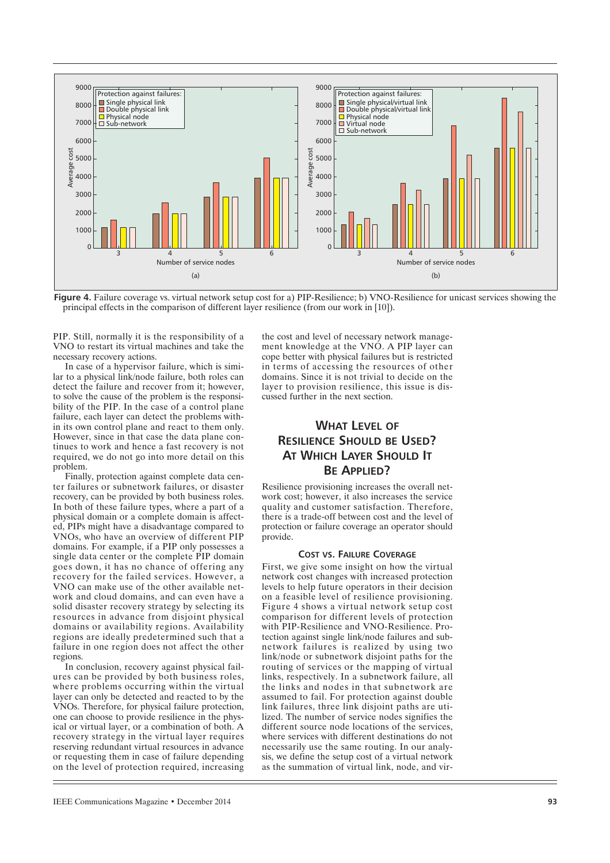

**Figure 4.** Failure coverage vs. virtual network setup cost for a) PIP-Resilience; b) VNO-Resilience for unicast services showing the principal effects in the comparison of different layer resilience (from our work in [10]).

PIP. Still, normally it is the responsibility of a VNO to restart its virtual machines and take the necessary recovery actions.

In case of a hypervisor failure, which is similar to a physical link/node failure, both roles can detect the failure and recover from it; however, to solve the cause of the problem is the responsibility of the PIP. In the case of a control plane failure, each layer can detect the problems within its own control plane and react to them only. However, since in that case the data plane continues to work and hence a fast recovery is not required, we do not go into more detail on this problem.

Finally, protection against complete data center failures or subnetwork failures, or disaster recovery, can be provided by both business roles. In both of these failure types, where a part of a physical domain or a complete domain is affected, PIPs might have a disadvantage compared to VNOs, who have an overview of different PIP domains. For example, if a PIP only possesses a single data center or the complete PIP domain goes down, it has no chance of offering any recovery for the failed services. However, a VNO can make use of the other available network and cloud domains, and can even have a solid disaster recovery strategy by selecting its resources in advance from disjoint physical domains or availability regions. Availability regions are ideally predetermined such that a failure in one region does not affect the other regions.

In conclusion, recovery against physical failures can be provided by both business roles, where problems occurring within the virtual layer can only be detected and reacted to by the VNOs. Therefore, for physical failure protection, one can choose to provide resilience in the physical or virtual layer, or a combination of both. A recovery strategy in the virtual layer requires reserving redundant virtual resources in advance or requesting them in case of failure depending on the level of protection required, increasing

the cost and level of necessary network management knowledge at the VNO. A PIP layer can cope better with physical failures but is restricted in terms of accessing the resources of other domains. Since it is not trivial to decide on the layer to provision resilience, this issue is discussed further in the next section.

# **WHAT LEVEL OF RESILIENCE SHOULD BE USED? AT WHICH LAYER SHOULD IT BE APPLIED?**

Resilience provisioning increases the overall network cost; however, it also increases the service quality and customer satisfaction. Therefore, there is a trade-off between cost and the level of protection or failure coverage an operator should provide.

#### **COST VS. FAILURE COVERAGE**

First, we give some insight on how the virtual network cost changes with increased protection levels to help future operators in their decision on a feasible level of resilience provisioning. Figure 4 shows a virtual network setup cost comparison for different levels of protection with PIP-Resilience and VNO-Resilience. Protection against single link/node failures and subnetwork failures is realized by using two link/node or subnetwork disjoint paths for the routing of services or the mapping of virtual links, respectively. In a subnetwork failure, all the links and nodes in that subnetwork are assumed to fail. For protection against double link failures, three link disjoint paths are utilized. The number of service nodes signifies the different source node locations of the services, where services with different destinations do not necessarily use the same routing. In our analysis, we define the setup cost of a virtual network as the summation of virtual link, node, and vir-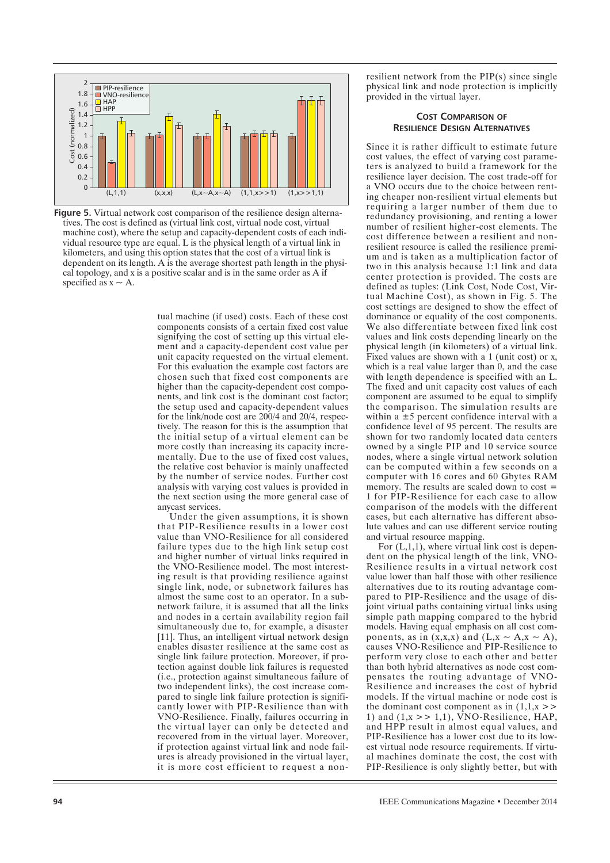

**Figure 5.** Virtual network cost comparison of the resilience design alternatives. The cost is defined as (virtual link cost, virtual node cost, virtual machine cost), where the setup and capacity-dependent costs of each individual resource type are equal. L is the physical length of a virtual link in kilometers, and using this option states that the cost of a virtual link is dependent on its length. A is the average shortest path length in the physical topology, and x is a positive scalar and is in the same order as A if specified as  $x \sim A$ .

tual machine (if used) costs. Each of these cost components consists of a certain fixed cost value signifying the cost of setting up this virtual element and a capacity-dependent cost value per unit capacity requested on the virtual element. For this evaluation the example cost factors are chosen such that fixed cost components are higher than the capacity-dependent cost components, and link cost is the dominant cost factor; the setup used and capacity-dependent values for the link/node cost are 200/4 and 20/4, respectively. The reason for this is the assumption that the initial setup of a virtual element can be more costly than increasing its capacity incrementally. Due to the use of fixed cost values, the relative cost behavior is mainly unaffected by the number of service nodes. Further cost analysis with varying cost values is provided in the next section using the more general case of anycast services.

Under the given assumptions, it is shown that PIP-Resilience results in a lower cost value than VNO-Resilience for all considered failure types due to the high link setup cost and higher number of virtual links required in the VNO-Resilience model. The most interesting result is that providing resilience against single link, node, or subnetwork failures has almost the same cost to an operator. In a subnetwork failure, it is assumed that all the links and nodes in a certain availability region fail simultaneously due to, for example, a disaster [11]. Thus, an intelligent virtual network design enables disaster resilience at the same cost as single link failure protection. Moreover, if protection against double link failures is requested (i.e., protection against simultaneous failure of two independent links), the cost increase compared to single link failure protection is significantly lower with PIP-Resilience than with VNO-Resilience. Finally, failures occurring in the virtual layer can only be detected and recovered from in the virtual layer. Moreover, if protection against virtual link and node failures is already provisioned in the virtual layer, it is more cost efficient to request a nonresilient network from the PIP(s) since single physical link and node protection is implicitly provided in the virtual layer.

## **COST COMPARISON OF RESILIENCE DESIGN ALTERNATIVES**

Since it is rather difficult to estimate future cost values, the effect of varying cost parameters is analyzed to build a framework for the resilience layer decision. The cost trade-off for a VNO occurs due to the choice between renting cheaper non-resilient virtual elements but requiring a larger number of them due to redundancy provisioning, and renting a lower number of resilient higher-cost elements. The cost difference between a resilient and nonresilient resource is called the resilience premium and is taken as a multiplication factor of two in this analysis because 1:1 link and data center protection is provided. The costs are defined as tuples: (Link Cost, Node Cost, Virtual Machine Cost), as shown in Fig. 5. The cost settings are designed to show the effect of dominance or equality of the cost components. We also differentiate between fixed link cost values and link costs depending linearly on the physical length (in kilometers) of a virtual link. Fixed values are shown with a 1 (unit cost) or x, which is a real value larger than 0, and the case with length dependence is specified with an L. The fixed and unit capacity cost values of each component are assumed to be equal to simplify the comparison. The simulation results are within a  $\pm$  5 percent confidence interval with a confidence level of 95 percent. The results are shown for two randomly located data centers owned by a single PIP and 10 service source nodes, where a single virtual network solution can be computed within a few seconds on a computer with 16 cores and 60 Gbytes RAM memory. The results are scaled down to  $cost =$ 1 for PIP-Resilience for each case to allow comparison of the models with the different cases, but each alternative has different absolute values and can use different service routing and virtual resource mapping.

For  $(L.1.1)$ , where virtual link cost is dependent on the physical length of the link, VNO-Resilience results in a virtual network cost value lower than half those with other resilience alternatives due to its routing advantage compared to PIP-Resilience and the usage of disjoint virtual paths containing virtual links using simple path mapping compared to the hybrid models. Having equal emphasis on all cost components, as in  $(x,x,x)$  and  $(L, x \sim A, x \sim A)$ , causes VNO-Resilience and PIP-Resilience to perform very close to each other and better than both hybrid alternatives as node cost compensates the routing advantage of VNO-Resilience and increases the cost of hybrid models. If the virtual machine or node cost is the dominant cost component as in  $(1,1,x$ 1) and  $(1, x \gt\gt 1, 1)$ , VNO-Resilience, HAP, and HPP result in almost equal values, and PIP-Resilience has a lower cost due to its lowest virtual node resource requirements. If virtual machines dominate the cost, the cost with PIP-Resilience is only slightly better, but with